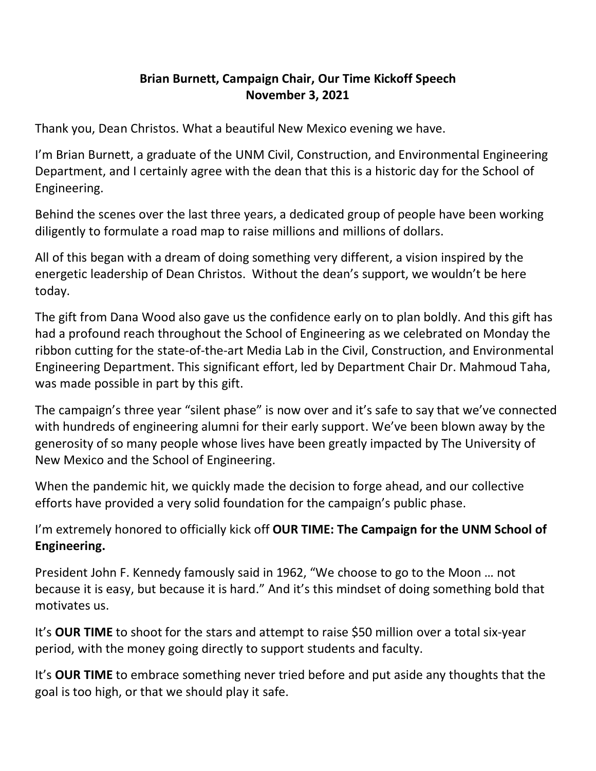## **Brian Burnett, Campaign Chair, Our Time Kickoff Speech November 3, 2021**

Thank you, Dean Christos. What a beautiful New Mexico evening we have.

I'm Brian Burnett, a graduate of the UNM Civil, Construction, and Environmental Engineering Department, and I certainly agree with the dean that this is a historic day for the School of Engineering.

Behind the scenes over the last three years, a dedicated group of people have been working diligently to formulate a road map to raise millions and millions of dollars.

All of this began with a dream of doing something very different, a vision inspired by the energetic leadership of Dean Christos. Without the dean's support, we wouldn't be here today.

The gift from Dana Wood also gave us the confidence early on to plan boldly. And this gift has had a profound reach throughout the School of Engineering as we celebrated on Monday the ribbon cutting for the state-of-the-art Media Lab in the Civil, Construction, and Environmental Engineering Department. This significant effort, led by Department Chair Dr. Mahmoud Taha, was made possible in part by this gift.

The campaign's three year "silent phase" is now over and it's safe to say that we've connected with hundreds of engineering alumni for their early support. We've been blown away by the generosity of so many people whose lives have been greatly impacted by The University of New Mexico and the School of Engineering.

When the pandemic hit, we quickly made the decision to forge ahead, and our collective efforts have provided a very solid foundation for the campaign's public phase.

I'm extremely honored to officially kick off **OUR TIME: The Campaign for the UNM School of Engineering.**

President John F. Kennedy famously said in 1962, "We choose to go to the Moon … not because it is easy, but because it is hard." And it's this mindset of doing something bold that motivates us.

It's **OUR TIME** to shoot for the stars and attempt to raise \$50 million over a total six-year period, with the money going directly to support students and faculty.

It's **OUR TIME** to embrace something never tried before and put aside any thoughts that the goal is too high, or that we should play it safe.